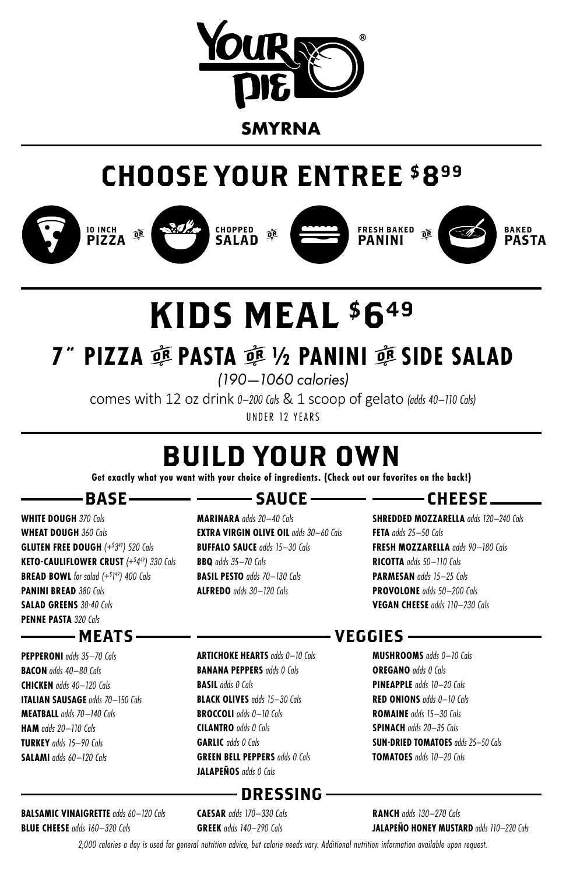

## CHOOSE YOUR ENTREE \$899





CHOPPED SALAD







BAKED PASTA

# KIDS MEAL \$649

## **7<sup>"</sup> PIZZA 亟 PASTA 亟 ½ PANINI 亟 SIDE SALAD**

*(190—1060 calories)*

comes with 12 oz drink *0–200 Cals* & 1 scoop of gelato *(adds 40–110 Cals)* UNDER 12 YEARS

## BUILD YOUR OWN

**Get exactly what you want with your choice of ingredients. (Check out our favorites on the back!)**

## -BASE-

**WHITE DOUGH** *370 Cals* **WHEAT DOUGH** *360 Cals* **GLUTEN FREE DOUGH** *(+\$ 349) 520 Cals* **KETO-CAULIFLOWER CRUST** *(+\$ 449) 330 Cals* **BREAD BOWL** *for salad (+\$ 1 49) 400 Cals* **PANINI BREAD** *380 Cals* **SALAD GREENS** *30-40 Cals* **PENNE PASTA** *320 Cals*

## – MEATS -

**PEPPERONI** *adds 35–70 Cals* **BACON** *adds 40–80 Cals* **CHICKEN** *adds 40–120 Cals* **ITALIAN SAUSAGE** *adds 70–150 Cals* **MEATBALL** *adds 70–140 Cals* **HAM** *adds 20–110 Cals* **TURKEY** *adds 15–90 Cals* **SALAMI** *adds 60–120 Cals*

**BALSAMIC VINAIGRETTE** *adds 60–120 Cals* **BLUE CHEESE** *adds 160–320 Cals*

## —— SAUCE —

**MARINARA** *adds 20–40 Cals* **EXTRA VIRGIN OLIVE OIL** *adds 30–60 Cals* **BUFFALO SAUCE** *adds 15–30 Cals* **BBQ** *adds 35–70 Cals* **BASIL PESTO** *adds 70–130 Cals* **ALFREDO** *adds 30–120 Cals*

## — ———— CHEESE\_\_

**SHREDDED MOZZARELLA** *adds 120–240 Cals* **FETA** *adds 25–50 Cals* **FRESH MOZZARELLA** *adds 90–180 Cals* **RICOTTA** *adds 50–110 Cals* **PARMESAN** *adds 15–25 Cals* **PROVOLONE** *adds 50–200 Cals* **VEGAN CHEESE** *adds 110–230 Cals*

**ARTICHOKE HEARTS** *adds 0–10 Cals* **BANANA PEPPERS** *adds 0 Cals* **BASIL** *adds 0 Cals* **BLACK OLIVES** *adds 15–30 Cals* **BROCCOLI** *adds 0–10 Cals* **CILANTRO** *adds 0 Cals* **GARLIC** *adds 0 Cals* **GREEN BELL PEPPERS** *adds 0 Cals* **JALAPEÑOS** *adds 0 Cals*

## VEGGIES

**MUSHROOMS** *adds 0–10 Cals* **OREGANO** *adds 0 Cals* **PINEAPPLE** *adds 10–20 Cals* **RED ONIONS** *adds 0–10 Cals* **ROMAINE** *adds 15–30 Cals* **SPINACH** *adds 20–35 Cals* **SUN-DRIED TOMATOES** *adds 25–50 Cals* **TOMATOES** *adds 10–20 Cals*

**CAESAR** *adds 170–330 Cals* **GREEK** *adds 140–290 Cals*

**RANCH** *adds 130–270 Cals* **JALAPEÑO HONEY MUSTARD** *adds 110–220 Cals*

*2,000 calories a day is used for general nutrition advice, but calorie needs vary. Additional nutrition information available upon request.*

DRESSING